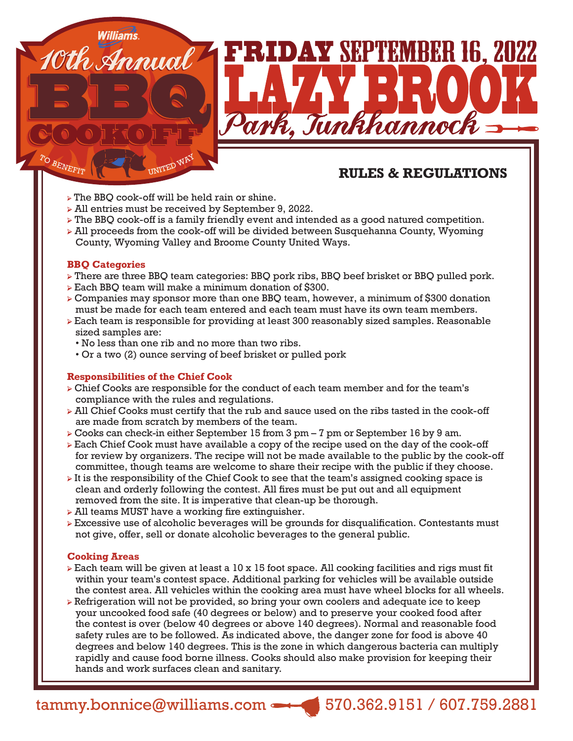# **RULES & REGULATIONS**

- ➢ The BBQ cook-off will be held rain or shine.
- ➢ All entries must be received by September 9, 2022.
- ➢ The BBQ cook-off is a family friendly event and intended as a good natured competition.

William's.<br>10th Annual 1 FRIDAY SEPTEMBER 16, 2022

Park, Tunkhannoch

➢ All proceeds from the cook-off will be divided between Susquehanna County, Wyoming County, Wyoming Valley and Broome County United Ways.

## **BBQ Categories**

- ➢ There are three BBQ team categories: BBQ pork ribs, BBQ beef brisket or BBQ pulled pork.
- ➢ Each BBQ team will make a minimum donation of \$300.
- ➢ Companies may sponsor more than one BBQ team, however, a minimum of \$300 donation must be made for each team entered and each team must have its own team members.
- ➢ Each team is responsible for providing at least 300 reasonably sized samples. Reasonable sized samples are:
	- No less than one rib and no more than two ribs.
	- Or a two (2) ounce serving of beef brisket or pulled pork

## **Responsibilities of the Chief Cook**

- ➢ Chief Cooks are responsible for the conduct of each team member and for the team's compliance with the rules and regulations.
- $\triangleright$  All Chief Cooks must certify that the rub and sauce used on the ribs tasted in the cook-off are made from scratch by members of the team.
- ➢ Cooks can check-in either September 15 from 3 pm 7 pm or September 16 by 9 am.
- ➢ Each Chief Cook must have available a copy of the recipe used on the day of the cook-off for review by organizers. The recipe will not be made available to the public by the cook-off committee, though teams are welcome to share their recipe with the public if they choose.
- ➢ It is the responsibility of the Chief Cook to see that the team's assigned cooking space is clean and orderly following the contest. All fires must be put out and all equipment removed from the site. It is imperative that clean-up be thorough.
- ➢ All teams MUST have a working fire extinguisher.
- ➢ Excessive use of alcoholic beverages will be grounds for disqualification. Contestants must not give, offer, sell or donate alcoholic beverages to the general public.

## **Cooking Areas**

- $\triangleright$  Each team will be given at least a 10 x 15 foot space. All cooking facilities and rigs must fit within your team's contest space. Additional parking for vehicles will be available outside the contest area. All vehicles within the cooking area must have wheel blocks for all wheels.
- ➢ Refrigeration will not be provided, so bring your own coolers and adequate ice to keep your uncooked food safe (40 degrees or below) and to preserve your cooked food after the contest is over (below 40 degrees or above 140 degrees). Normal and reasonable food safety rules are to be followed. As indicated above, the danger zone for food is above 40 degrees and below 140 degrees. This is the zone in which dangerous bacteria can multiply rapidly and cause food borne illness. Cooks should also make provision for keeping their hands and work surfaces clean and sanitary.

tammy.bonnice@williams.com 570.362.9151 / 607.759.2881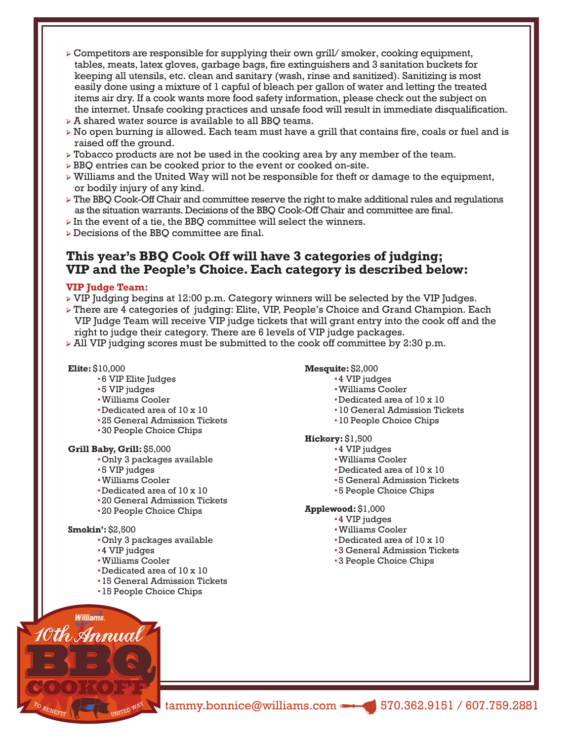- $\triangleright$  Competitors are responsible for supplying their own grill/ smoker, cooking equipment, tables, meats, latex gloves, garbage bags, fire extinguishers and 3 sanitation buckets for keeping all utensils, etc. clean and sanitary (wash, rinse and sanitized). Sanitizing is most easily done using a mixture of 1 capful of bleach per gallon of water and letting the treated items air dry. If a cook wants more food safety information, please check out the subject on the internet. Unsafe cooking practices and unsafe food will result in immediate disqualification.
- ➢ A shared water source is available to all BBQ teams.
- ➢ No open burning is allowed. Each team must have a grill that contains fire, coals or fuel and is raised off the ground.
- $\triangleright$  Tobacco products are not be used in the cooking area by any member of the team.
- ➢ BBQ entries can be cooked prior to the event or cooked on-site.
- $\triangleright$  Williams and the United Way will not be responsible for theft or damage to the equipment, or bodily injury of any kind.
- ➢ The BBQ Cook-Off Chair and committee reserve the right to make additional rules and regulations as the situation warrants. Decisions of the BBQ Cook-Off Chair and committee are final.
- $\triangleright$  In the event of a tie, the BBO committee will select the winners.
- ➢ Decisions of the BBQ committee are final.

## **This year's BBQ Cook Off will have 3 categories of judging; VIP and the People's Choice. Each category is described below:**

#### **VIP Judge Team:**

- ➢ VIP Judging begins at 12:00 p.m. Category winners will be selected by the VIP Judges.
- ➢ There are 4 categories of judging: Elite, VIP, People's Choice and Grand Champion. Each VIP Judge Team will receive VIP judge tickets that will grant entry into the cook off and the right to judge their category. There are 6 levels of VIP judge packages.
- $\triangleright$  All VIP judging scores must be submitted to the cook off committee by 2:30 p.m.

#### **Elite:** \$10,000

- •6 VIP Elite Judges
- •5 VIP judges
- •Williams Cooler
- •Dedicated area of 10 x 10
- •25 General Admission Tickets
- •30 People Choice Chips

#### **Grill Baby, Grill:** \$5,000

- •Only 3 packages available
- •5 VIP judges
- •Williams Cooler
- •Dedicated area of 10 x 10
- •20 General Admission Tickets
- •20 People Choice Chips

#### **Smokin':** \$2,500

- •Only 3 packages available
- •4 VIP judges
- •Williams Cooler
- •Dedicated area of 10 x 10
- •15 General Admission Tickets
- •15 People Choice Chips

#### **Mesquite:** \$2,000

- •4 VIP judges
	- •Williams Cooler
	- •Dedicated area of 10 x 10
	- •10 General Admission Tickets
	- •10 People Choice Chips

#### **Hickory:** \$1,500

- •4 VIP judges
- •Williams Cooler
- •Dedicated area of 10 x 10
- •5 General Admission Tickets
- •5 People Choice Chips

### **Applewood:** \$1,000

- •4 VIP judges
- •Williams Cooler
- •Dedicated area of 10 x 10
- •3 General Admission Tickets
- •3 People Choice Chips



tammy.bonnice@williams.com 570.362.9151 / 607.759.2881